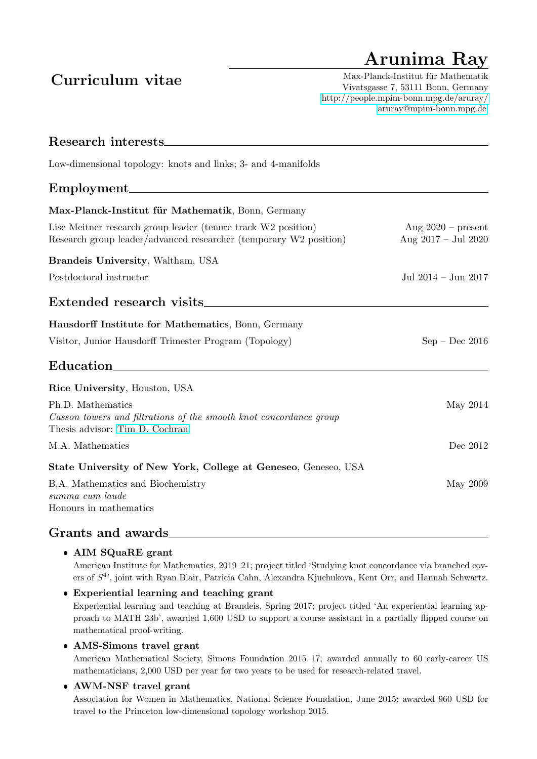# Arunima Ray

## Curriculum vitae

Max-Planck-Institut für Mathematik Vivatsgasse 7, 53111 Bonn, Germany <http://people.mpim-bonn.mpg.de/aruray/> [aruray@mpim-bonn.mpg.de](mailto:aruray@mpim-bonn.mpg.de)

| Research interests.                                                                                                                |                                               |
|------------------------------------------------------------------------------------------------------------------------------------|-----------------------------------------------|
| Low-dimensional topology: knots and links; 3- and 4-manifolds                                                                      |                                               |
| Employment                                                                                                                         |                                               |
| Max-Planck-Institut für Mathematik, Bonn, Germany                                                                                  |                                               |
| Lise Meitner research group leader (tenure track W2 position)<br>Research group leader/advanced researcher (temporary W2 position) | Aug $2020$ – present<br>Aug $2017 -$ Jul 2020 |
| Brandeis University, Waltham, USA                                                                                                  |                                               |
| Postdoctoral instructor                                                                                                            | Jul 2014 - Jun 2017                           |
| Extended research visits.                                                                                                          |                                               |
| Hausdorff Institute for Mathematics, Bonn, Germany                                                                                 |                                               |
| Visitor, Junior Hausdorff Trimester Program (Topology)                                                                             | $Sep - Dec 2016$                              |
| Education                                                                                                                          |                                               |
| Rice University, Houston, USA                                                                                                      |                                               |
| Ph.D. Mathematics<br>Casson towers and filtrations of the smooth knot concordance group<br>Thesis advisor: Tim D. Cochran          | May 2014                                      |
| M.A. Mathematics                                                                                                                   | Dec 2012                                      |
| State University of New York, College at Geneseo, Geneseo, USA                                                                     |                                               |
| B.A. Mathematics and Biochemistry<br>summa cum laude<br>Honours in mathematics                                                     | May 2009                                      |

### Grants and awards

### AIM SQuaRE grant

American Institute for Mathematics, 2019–21; project titled 'Studying knot concordance via branched covers of  $S<sup>4</sup>$ , joint with Ryan Blair, Patricia Cahn, Alexandra Kjuchukova, Kent Orr, and Hannah Schwartz.

 Experiential learning and teaching grant Experiential learning and teaching at Brandeis, Spring 2017; project titled 'An experiential learning approach to MATH 23b', awarded 1,600 USD to support a course assistant in a partially flipped course on mathematical proof-writing.

AMS-Simons travel grant

American Mathematical Society, Simons Foundation 2015–17; awarded annually to 60 early-career US mathematicians, 2,000 USD per year for two years to be used for research-related travel.

### AWM-NSF travel grant

Association for Women in Mathematics, National Science Foundation, June 2015; awarded 960 USD for travel to the Princeton low-dimensional topology workshop 2015.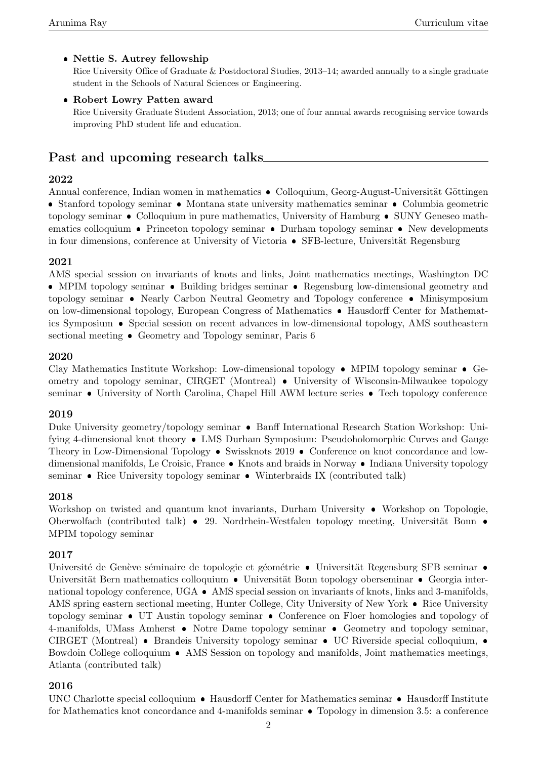### Nettie S. Autrey fellowship

Rice University Office of Graduate & Postdoctoral Studies, 2013–14; awarded annually to a single graduate student in the Schools of Natural Sciences or Engineering.

### Robert Lowry Patten award

Rice University Graduate Student Association, 2013; one of four annual awards recognising service towards improving PhD student life and education.

### Past and upcoming research talks

#### 2022

Annual conference, Indian women in mathematics • Colloquium, Georg-August-Universität Göttingen  $\bullet$  Stanford topology seminar  $\bullet$  Montana state university mathematics seminar  $\bullet$  Columbia geometric topology seminar  $\bullet$  Colloquium in pure mathematics, University of Hamburg  $\bullet$  SUNY Geneseo mathematics colloquium  $\bullet$  Princeton topology seminar  $\bullet$  Durham topology seminar  $\bullet$  New developments in four dimensions, conference at University of Victoria • SFB-lecture, Universität Regensburg

#### 2021

AMS special session on invariants of knots and links, Joint mathematics meetings, Washington DC  $\bullet$  MPIM topology seminar  $\bullet$  Building bridges seminar  $\bullet$  Regensburg low-dimensional geometry and topology seminar • Nearly Carbon Neutral Geometry and Topology conference • Minisymposium on low-dimensional topology, European Congress of Mathematics Hausdorff Center for Mathematics Symposium • Special session on recent advances in low-dimensional topology, AMS southeastern sectional meeting • Geometry and Topology seminar, Paris 6

#### 2020

Clay Mathematics Institute Workshop: Low-dimensional topology  $\bullet$  MPIM topology seminar  $\bullet$  Geometry and topology seminar, CIRGET (Montreal) • University of Wisconsin-Milwaukee topology seminar • University of North Carolina, Chapel Hill AWM lecture series • Tech topology conference

#### 2019

Duke University geometry/topology seminar • Banff International Research Station Workshop: Unifying 4-dimensional knot theory • LMS Durham Symposium: Pseudoholomorphic Curves and Gauge Theory in Low-Dimensional Topology • Swissknots 2019 • Conference on knot concordance and lowdimensional manifolds, Le Croisic, France • Knots and braids in Norway • Indiana University topology seminar  $\bullet$  Rice University topology seminar  $\bullet$  Winterbraids IX (contributed talk)

#### 2018

Workshop on twisted and quantum knot invariants, Durham University • Workshop on Topologie, Oberwolfach (contributed talk)  $\bullet$  29. Nordrhein-Westfalen topology meeting, Universität Bonn  $\bullet$ MPIM topology seminar

#### 2017

Université de Genève séminaire de topologie et géométrie  $\bullet$  Universität Regensburg SFB seminar  $\bullet$ Universität Bern mathematics colloquium • Universität Bonn topology oberseminar • Georgia international topology conference, UGA  $\bullet$  AMS special session on invariants of knots, links and 3-manifolds, AMS spring eastern sectional meeting, Hunter College, City University of New York  $\bullet$  Rice University topology seminar  $\bullet$  UT Austin topology seminar  $\bullet$  Conference on Floer homologies and topology of 4-manifolds, UMass Amherst  $\bullet$  Notre Dame topology seminar  $\bullet$  Geometry and topology seminar, CIRGET (Montreal) • Brandeis University topology seminar • UC Riverside special colloquium, • Bowdoin College colloquium • AMS Session on topology and manifolds, Joint mathematics meetings, Atlanta (contributed talk)

#### 2016

UNC Charlotte special colloquium • Hausdorff Center for Mathematics seminar • Hausdorff Institute for Mathematics knot concordance and 4-manifolds seminar  $\bullet$  Topology in dimension 3.5: a conference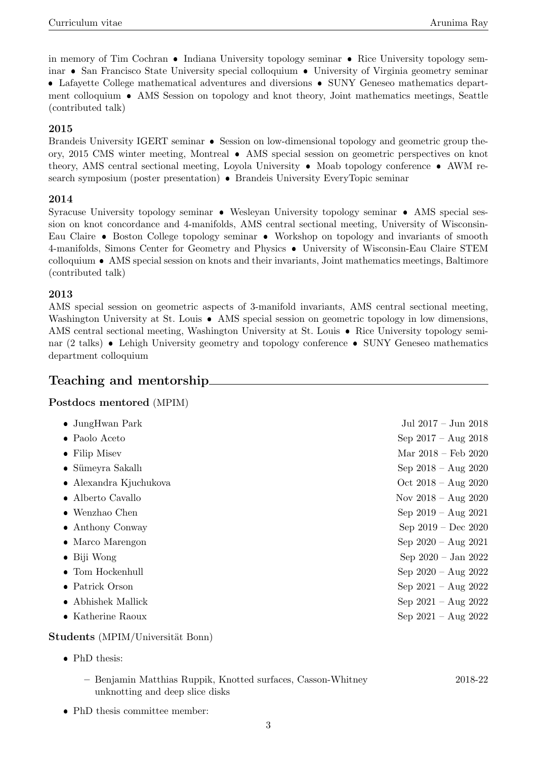in memory of Tim Cochran  $\bullet$  Indiana University topology seminar  $\bullet$  Rice University topology seminar • San Francisco State University special colloquium • University of Virginia geometry seminar • Lafayette College mathematical adventures and diversions • SUNY Geneseo mathematics depart-

ment colloquium AMS Session on topology and knot theory, Joint mathematics meetings, Seattle (contributed talk)

#### 2015

Brandeis University IGERT seminar • Session on low-dimensional topology and geometric group theory, 2015 CMS winter meeting, Montreal AMS special session on geometric perspectives on knot theory, AMS central sectional meeting, Loyola University  $\bullet$  Moab topology conference  $\bullet$  AWM research symposium (poster presentation) • Brandeis University EveryTopic seminar

#### 2014

Syracuse University topology seminar • Wesleyan University topology seminar • AMS special session on knot concordance and 4-manifolds, AMS central sectional meeting, University of Wisconsin-Eau Claire • Boston College topology seminar • Workshop on topology and invariants of smooth 4-manifolds, Simons Center for Geometry and Physics University of Wisconsin-Eau Claire STEM colloquium AMS special session on knots and their invariants, Joint mathematics meetings, Baltimore (contributed talk)

#### 2013

AMS special session on geometric aspects of 3-manifold invariants, AMS central sectional meeting, Washington University at St. Louis • AMS special session on geometric topology in low dimensions, AMS central sectional meeting, Washington University at St. Louis  $\bullet$  Rice University topology seminar (2 talks) • Lehigh University geometry and topology conference • SUNY Geneseo mathematics department colloquium

### Teaching and mentorship

Postdocs mentored (MPIM)

| $\bullet$ JungHwan Park        | Jul $2017 - \text{Jun } 2018$ |
|--------------------------------|-------------------------------|
| • Paolo Aceto                  | Sep $2017 - Aug 2018$         |
| $\bullet$ Filip Misev          | Mar $2018 - \text{Feb } 2020$ |
| • Sümeyra Sakallı              | Sep $2018 - Aug 2020$         |
| $\bullet$ Alexandra Kjuchukova | Oct $2018 - \text{Aug } 2020$ |
| • Alberto Cavallo              | Nov $2018 - Aug 2020$         |
| $\bullet$ Wenzhao Chen         | Sep $2019 - Aug 2021$         |
| • Anthony Conway               | Sep $2019 - Dec 2020$         |
| $\bullet$ Marco Marengon       | Sep $2020 - Aug 2021$         |
| $\bullet$ Biji Wong            | Sep $2020 - Jan 2022$         |
| $\bullet$ Tom Hockenhull       | Sep $2020 - Aug 2022$         |
| • Patrick Orson                | Sep $2021 - Aug 2022$         |
| Abhishek Mallick               | Sep $2021 - \text{Aug } 2022$ |
| • Katherine Raoux              | Sep $2021 - \text{Aug } 2022$ |

Students (MPIM/Universität Bonn)

- PhD thesis:
	- Benjamin Matthias Ruppik, Knotted surfaces, Casson-Whitney 2018-22 unknotting and deep slice disks
- PhD thesis committee member: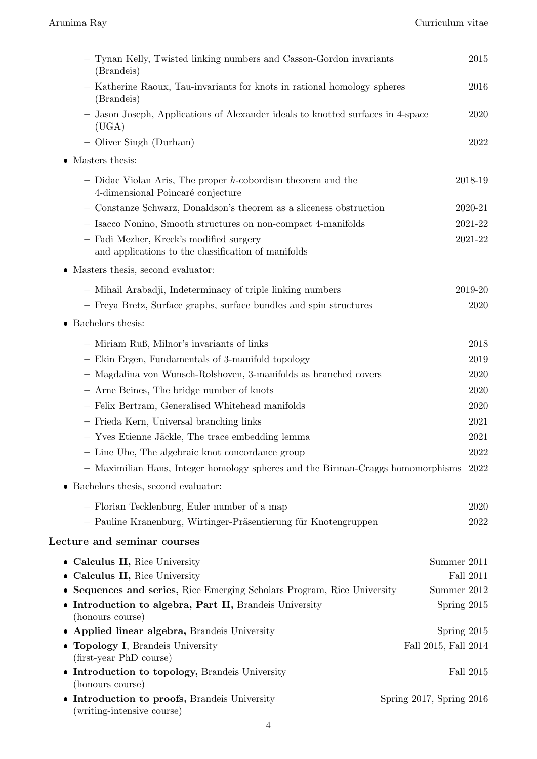| - Tynan Kelly, Twisted linking numbers and Casson-Gordon invariants<br>(Brandeis)                   | 2015                     |
|-----------------------------------------------------------------------------------------------------|--------------------------|
| - Katherine Raoux, Tau-invariants for knots in rational homology spheres<br>(Brandeis)              | 2016                     |
| - Jason Joseph, Applications of Alexander ideals to knotted surfaces in 4-space<br>(UGA)            | 2020                     |
| - Oliver Singh (Durham)                                                                             | 2022                     |
| $\bullet~$ Masters thesis:                                                                          |                          |
| - Didac Violan Aris, The proper $h$ -cobordism theorem and the<br>4-dimensional Poincaré conjecture | 2018-19                  |
| - Constanze Schwarz, Donaldson's theorem as a sliceness obstruction                                 | 2020-21                  |
| - Isacco Nonino, Smooth structures on non-compact 4-manifolds                                       | 2021-22                  |
| - Fadi Mezher, Kreck's modified surgery<br>and applications to the classification of manifolds      | $2021 - 22$              |
| • Masters thesis, second evaluator:                                                                 |                          |
| - Mihail Arabadji, Indeterminacy of triple linking numbers                                          | 2019-20                  |
| - Freya Bretz, Surface graphs, surface bundles and spin structures                                  | 2020                     |
| $\bullet$ Bachelors thesis:                                                                         |                          |
| - Miriam Ruß, Milnor's invariants of links                                                          | 2018                     |
| - Ekin Ergen, Fundamentals of 3-manifold topology                                                   | 2019                     |
| - Magdalina von Wunsch-Rolshoven, 3-manifolds as branched covers                                    | 2020                     |
| - Arne Beines, The bridge number of knots                                                           | 2020                     |
| - Felix Bertram, Generalised Whitehead manifolds                                                    | 2020                     |
| - Frieda Kern, Universal branching links                                                            | 2021                     |
| - Yves Etienne Jäckle, The trace embedding lemma                                                    | 2021                     |
| - Line Uhe, The algebraic knot concordance group                                                    | 2022                     |
| - Maximilian Hans, Integer homology spheres and the Birman-Craggs homomorphisms 2022                |                          |
| • Bachelors thesis, second evaluator:                                                               |                          |
| - Florian Tecklenburg, Euler number of a map                                                        | 2020                     |
| - Pauline Kranenburg, Wirtinger-Präsentierung für Knotengruppen                                     | 2022                     |
| Lecture and seminar courses                                                                         |                          |
| • Calculus II, Rice University                                                                      | Summer 2011              |
| <b>Calculus II, Rice University</b>                                                                 | Fall 2011                |
| Sequences and series, Rice Emerging Scholars Program, Rice University<br>٠                          | Summer 2012              |
| Introduction to algebra, Part II, Brandeis University<br>٠                                          | Spring 2015              |
| (honours course)                                                                                    |                          |
| Applied linear algebra, Brandeis University                                                         | Spring 2015              |
| Topology I, Brandeis University<br>٠<br>(first-year PhD course)                                     | Fall 2015, Fall 2014     |
| • Introduction to topology, Brandeis University<br>(honours course)                                 | Fall 2015                |
| • Introduction to proofs, Brandeis University<br>(writing-intensive course)                         | Spring 2017, Spring 2016 |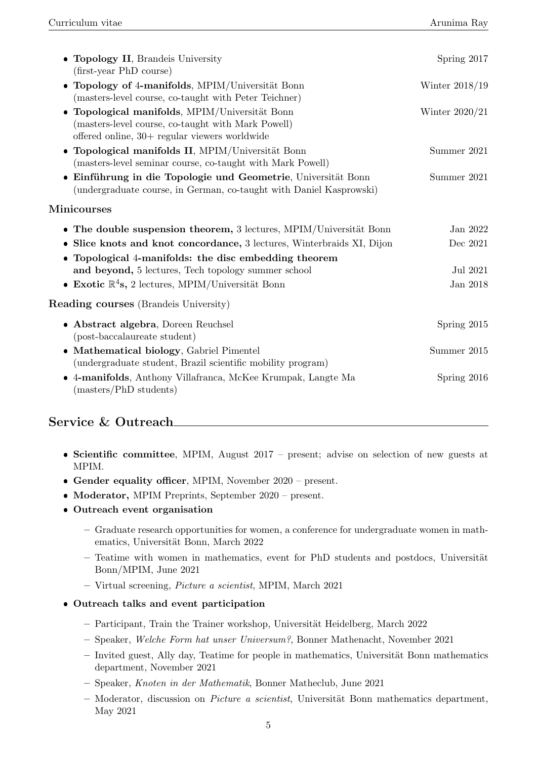| <b>Topology II</b> , Brandeis University<br>(first-year PhD course)                                                                                                | Spring 2017          |
|--------------------------------------------------------------------------------------------------------------------------------------------------------------------|----------------------|
| Topology of 4-manifolds, MPIM/Universität Bonn<br>$\bullet$<br>(masters-level course, co-taught with Peter Teichner)                                               | Winter $2018/19$     |
| Topological manifolds, MPIM/Universität Bonn<br>$\bullet$<br>(masters-level course, co-taught with Mark Powell)<br>offered online, $30+$ regular viewers worldwide | Winter $2020/21$     |
| · Topological manifolds II, MPIM/Universität Bonn<br>(masters-level seminar course, co-taught with Mark Powell)                                                    | Summer 2021          |
| • Einführung in die Topologie und Geometrie, Universität Bonn<br>undergraduate course, in German, co-taught with Daniel Kasprowski)                                | Summer 2021          |
| ${\rm Minic}$ ourses                                                                                                                                               |                      |
| • The double suspension theorem, $3$ lectures, MPIM/Universität Bonn<br>Slice knots and knot concordance, 3 lectures, Winterbraids XI, Dijon<br>٠                  | Jan 2022<br>Dec 2021 |
| Topological 4-manifolds: the disc embedding theorem<br>$\bullet$<br>and beyond, 5 lectures, Tech topology summer school                                            | Jul 2021             |
| • Exotic $\mathbb{R}^4$ s, 2 lectures, MPIM/Universität Bonn                                                                                                       | Jan 2018             |
| <b>Reading courses</b> (Brandeis University)                                                                                                                       |                      |
| • Abstract algebra, Doreen Reuchsel<br>(post-baccalaureate student)                                                                                                | Spring 2015          |
| • Mathematical biology, Gabriel Pimentel<br>(undergraduate student, Brazil scientific mobility program)                                                            | Summer 2015          |
| 4-manifolds, Anthony Villafranca, McKee Krumpak, Langte Ma<br>$\bullet$<br>(masters/PhD students)                                                                  | Spring 2016          |

### Service & Outreach

- Scientific committee, MPIM, August 2017 present; advise on selection of new guests at MPIM.
- Gender equality officer, MPIM, November 2020 present.
- Moderator, MPIM Preprints, September 2020 present.
- Outreach event organisation
	- Graduate research opportunities for women, a conference for undergraduate women in mathematics, Universität Bonn, March 2022
	- $-$  Teatime with women in mathematics, event for PhD students and postdocs, Universität Bonn/MPIM, June 2021
	- Virtual screening, Picture a scientist, MPIM, March 2021
- Outreach talks and event participation
	- $-$  Participant, Train the Trainer workshop, Universität Heidelberg, March 2022
	- Speaker, Welche Form hat unser Universum?, Bonner Mathenacht, November 2021
	- $-$  Invited guest, Ally day, Teatime for people in mathematics, Universität Bonn mathematics department, November 2021
	- Speaker, Knoten in der Mathematik, Bonner Matheclub, June 2021
	- $-$  Moderator, discussion on *Picture a scientist*, Universität Bonn mathematics department, May 2021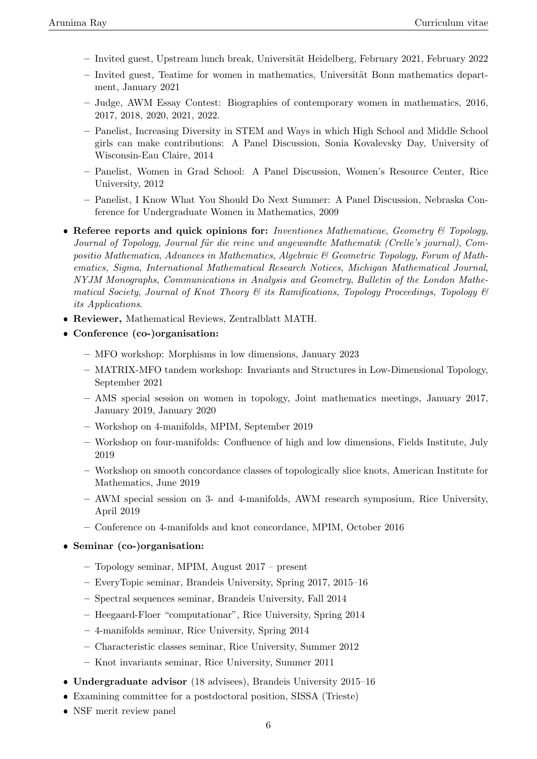- $-$  Invited guest, Upstream lunch break, Universität Heidelberg, February 2021, February 2022
- $-$  Invited guest. Teatime for women in mathematics, Universität Bonn mathematics department, January 2021
- Judge, AWM Essay Contest: Biographies of contemporary women in mathematics, 2016, 2017, 2018, 2020, 2021, 2022.
- Panelist, Increasing Diversity in STEM and Ways in which High School and Middle School girls can make contributions: A Panel Discussion, Sonia Kovalevsky Day, University of Wisconsin-Eau Claire, 2014
- Panelist, Women in Grad School: A Panel Discussion, Women's Resource Center, Rice University, 2012
- Panelist, I Know What You Should Do Next Summer: A Panel Discussion, Nebraska Conference for Undergraduate Women in Mathematics, 2009
- Referee reports and quick opinions for: Inventiones Mathematicae, Geometry  $\mathcal{B}$  Topology, Journal of Topology, Journal für die reine und angewandte Mathematik (Crelle's journal), Compositio Mathematica, Advances in Mathematics, Algebraic & Geometric Topology, Forum of Mathematics, Sigma, International Mathematical Research Notices, Michigan Mathematical Journal, NYJM Monographs, Communications in Analysis and Geometry, Bulletin of the London Mathematical Society, Journal of Knot Theory & its Ramifications, Topology Proceedings, Topology & its Applications.
- Reviewer, Mathematical Reviews, Zentralblatt MATH.
- Conference (co-)organisation:
	- MFO workshop: Morphisms in low dimensions, January 2023
	- MATRIX-MFO tandem workshop: Invariants and Structures in Low-Dimensional Topology, September 2021
	- AMS special session on women in topology, Joint mathematics meetings, January 2017, January 2019, January 2020
	- Workshop on 4-manifolds, MPIM, September 2019
	- Workshop on four-manifolds: Confluence of high and low dimensions, Fields Institute, July 2019
	- Workshop on smooth concordance classes of topologically slice knots, American Institute for Mathematics, June 2019
	- AWM special session on 3- and 4-manifolds, AWM research symposium, Rice University, April 2019
	- Conference on 4-manifolds and knot concordance, MPIM, October 2016
- Seminar (co-)organisation:
	- Topology seminar, MPIM, August 2017 present
	- EveryTopic seminar, Brandeis University, Spring 2017, 2015–16
	- Spectral sequences seminar, Brandeis University, Fall 2014
	- Heegaard-Floer "computationar", Rice University, Spring 2014
	- 4-manifolds seminar, Rice University, Spring 2014
	- Characteristic classes seminar, Rice University, Summer 2012
	- Knot invariants seminar, Rice University, Summer 2011
- Undergraduate advisor (18 advisees), Brandeis University 2015–16
- Examining committee for a postdoctoral position, SISSA (Trieste)
- NSF merit review panel